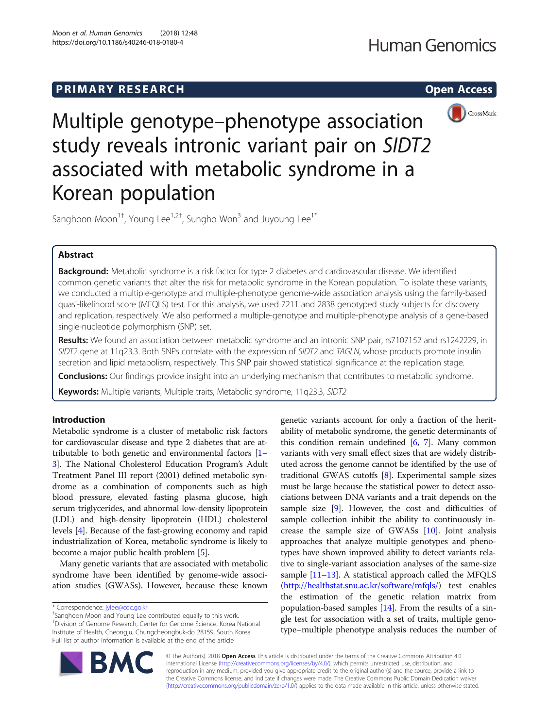

Multiple genotype–phenotype association study reveals intronic variant pair on SIDT2 associated with metabolic syndrome in a Korean population

Sanghoon Moon<sup>1†</sup>, Young Lee<sup>1,2†</sup>, Sungho Won<sup>3</sup> and Juyoung Lee<sup>1\*</sup>

# Abstract

Background: Metabolic syndrome is a risk factor for type 2 diabetes and cardiovascular disease. We identified common genetic variants that alter the risk for metabolic syndrome in the Korean population. To isolate these variants, we conducted a multiple-genotype and multiple-phenotype genome-wide association analysis using the family-based quasi-likelihood score (MFQLS) test. For this analysis, we used 7211 and 2838 genotyped study subjects for discovery and replication, respectively. We also performed a multiple-genotype and multiple-phenotype analysis of a gene-based single-nucleotide polymorphism (SNP) set.

Results: We found an association between metabolic syndrome and an intronic SNP pair, rs7107152 and rs1242229, in SIDT2 gene at 11q23.3. Both SNPs correlate with the expression of SIDT2 and TAGLN, whose products promote insulin secretion and lipid metabolism, respectively. This SNP pair showed statistical significance at the replication stage.

Conclusions: Our findings provide insight into an underlying mechanism that contributes to metabolic syndrome.

Keywords: Multiple variants, Multiple traits, Metabolic syndrome, 11q23.3, SIDT2

# Introduction

Metabolic syndrome is a cluster of metabolic risk factors for cardiovascular disease and type 2 diabetes that are attributable to both genetic and environmental factors [[1](#page-8-0)– [3\]](#page-8-0). The National Cholesterol Education Program's Adult Treatment Panel III report (2001) defined metabolic syndrome as a combination of components such as high blood pressure, elevated fasting plasma glucose, high serum triglycerides, and abnormal low-density lipoprotein (LDL) and high-density lipoprotein (HDL) cholesterol levels [[4](#page-8-0)]. Because of the fast-growing economy and rapid industrialization of Korea, metabolic syndrome is likely to become a major public health problem [\[5](#page-8-0)].

Many genetic variants that are associated with metabolic syndrome have been identified by genome-wide association studies (GWASs). However, because these known

<sup>+</sup>Sanghoon Moon and Young Lee contributed equally to this work. 1 Division of Genome Research, Center for Genome Science, Korea National Institute of Health, Cheongju, Chungcheongbuk-do 28159, South Korea Full list of author information is available at the end of the article

genetic variants account for only a fraction of the heritability of metabolic syndrome, the genetic determinants of this condition remain undefined [\[6,](#page-8-0) [7\]](#page-8-0). Many common variants with very small effect sizes that are widely distributed across the genome cannot be identified by the use of traditional GWAS cutoffs [\[8\]](#page-8-0). Experimental sample sizes must be large because the statistical power to detect associations between DNA variants and a trait depends on the sample size [\[9](#page-8-0)]. However, the cost and difficulties of sample collection inhibit the ability to continuously increase the sample size of GWASs [[10](#page-8-0)]. Joint analysis approaches that analyze multiple genotypes and phenotypes have shown improved ability to detect variants relative to single-variant association analyses of the same-size sample [\[11](#page-8-0)–[13](#page-8-0)]. A statistical approach called the MFQLS ([http://healthstat.snu.ac.kr/software/mfqls/\)](http://healthstat.snu.ac.kr/software/mfqls/) test enables the estimation of the genetic relation matrix from population-based samples [[14](#page-8-0)]. From the results of a single test for association with a set of traits, multiple genotype–multiple phenotype analysis reduces the number of



© The Author(s). 2018 Open Access This article is distributed under the terms of the Creative Commons Attribution 4.0 International License [\(http://creativecommons.org/licenses/by/4.0/](http://creativecommons.org/licenses/by/4.0/)), which permits unrestricted use, distribution, and reproduction in any medium, provided you give appropriate credit to the original author(s) and the source, provide a link to the Creative Commons license, and indicate if changes were made. The Creative Commons Public Domain Dedication waiver [\(http://creativecommons.org/publicdomain/zero/1.0/](http://creativecommons.org/publicdomain/zero/1.0/)) applies to the data made available in this article, unless otherwise stated.

<sup>\*</sup> Correspondence: [jylee@cdc.go.kr](mailto:jylee@cdc.go.kr) †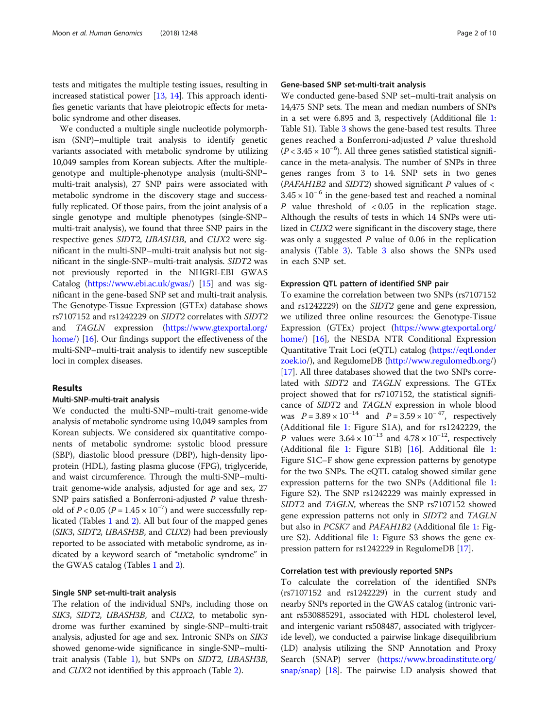tests and mitigates the multiple testing issues, resulting in increased statistical power [\[13,](#page-8-0) [14](#page-8-0)]. This approach identifies genetic variants that have pleiotropic effects for metabolic syndrome and other diseases.

We conducted a multiple single nucleotide polymorphism (SNP)–multiple trait analysis to identify genetic variants associated with metabolic syndrome by utilizing 10,049 samples from Korean subjects. After the multiplegenotype and multiple-phenotype analysis (multi-SNP– multi-trait analysis), 27 SNP pairs were associated with metabolic syndrome in the discovery stage and successfully replicated. Of those pairs, from the joint analysis of a single genotype and multiple phenotypes (single-SNP– multi-trait analysis), we found that three SNP pairs in the respective genes SIDT2, UBASH3B, and CUX2 were significant in the multi-SNP–multi-trait analysis but not significant in the single-SNP–multi-trait analysis. SIDT2 was not previously reported in the NHGRI-EBI GWAS Catalog [\(https://www.ebi.ac.uk/gwas/\)](https://www.ebi.ac.uk/gwas/) [[15\]](#page-8-0) and was significant in the gene-based SNP set and multi-trait analysis. The Genotype-Tissue Expression (GTEx) database shows rs7107152 and rs1242229 on SIDT2 correlates with SIDT2 and TAGLN expression ([https://www.gtexportal.org/](https://www.gtexportal.org/home/) [home/\)](https://www.gtexportal.org/home/) [\[16\]](#page-8-0). Our findings support the effectiveness of the multi-SNP–multi-trait analysis to identify new susceptible loci in complex diseases.

### Results

### Multi-SNP-multi-trait analysis

We conducted the multi-SNP–multi-trait genome-wide analysis of metabolic syndrome using 10,049 samples from Korean subjects. We considered six quantitative components of metabolic syndrome: systolic blood pressure (SBP), diastolic blood pressure (DBP), high-density lipoprotein (HDL), fasting plasma glucose (FPG), triglyceride, and waist circumference. Through the multi-SNP–multitrait genome-wide analysis, adjusted for age and sex, 27 SNP pairs satisfied a Bonferroni-adjusted P value threshold of  $P < 0.05$  ( $P = 1.45 \times 10^{-7}$ ) and were successfully replicated (Tables [1](#page-2-0) and [2\)](#page-3-0). All but four of the mapped genes (SIK3, SIDT2, UBASH3B, and CUX2) had been previously reported to be associated with metabolic syndrome, as indicated by a keyword search of "metabolic syndrome" in the GWAS catalog (Tables [1](#page-2-0) and [2](#page-3-0)).

### Single SNP set-multi-trait analysis

The relation of the individual SNPs, including those on SIK3, SIDT2, UBASH3B, and CUX2, to metabolic syndrome was further examined by single-SNP–multi-trait analysis, adjusted for age and sex. Intronic SNPs on SIK3 showed genome-wide significance in single-SNP–multitrait analysis (Table [1\)](#page-2-0), but SNPs on SIDT2, UBASH3B, and CUX2 not identified by this approach (Table [2\)](#page-3-0).

### Gene-based SNP set-multi-trait analysis

We conducted gene-based SNP set–multi-trait analysis on 14,475 SNP sets. The mean and median numbers of SNPs in a set were 6.895 and 3, respectively (Additional file [1](#page-7-0): Table S1). Table [3](#page-3-0) shows the gene-based test results. Three genes reached a Bonferroni-adjusted P value threshold ( $P$  < 3.45 × 10<sup>-6</sup>). All three genes satisfied statistical significance in the meta-analysis. The number of SNPs in three genes ranges from 3 to 14. SNP sets in two genes (PAFAH1B2 and SIDT2) showed significant  $P$  values of  $\lt$  $3.45 \times 10^{-6}$  in the gene-based test and reached a nominal  $P$  value threshold of < 0.05 in the replication stage. Although the results of tests in which 14 SNPs were utilized in CUX2 were significant in the discovery stage, there was only a suggested  $P$  value of 0.06 in the replication analysis (Table [3](#page-3-0)). Table [3](#page-3-0) also shows the SNPs used in each SNP set.

### Expression QTL pattern of identified SNP pair

To examine the correlation between two SNPs (rs7107152 and rs1242229) on the SIDT2 gene and gene expression, we utilized three online resources: the Genotype-Tissue Expression (GTEx) project ([https://www.gtexportal.org/](https://www.gtexportal.org/home/) [home/\)](https://www.gtexportal.org/home/) [\[16\]](#page-8-0), the NESDA NTR Conditional Expression Quantitative Trait Loci (eQTL) catalog ([https://eqtl.onder](https://eqtl.onderzoek.io) [zoek.io/](https://eqtl.onderzoek.io)), and RegulomeDB [\(http://www.regulomedb.org/](http://www.regulomedb.org)) [[17](#page-8-0)]. All three databases showed that the two SNPs correlated with SIDT2 and TAGLN expressions. The GTEx project showed that for rs7107152, the statistical significance of SIDT2 and TAGLN expression in whole blood was  $P = 3.89 \times 10^{-14}$  and  $P = 3.59 \times 10^{-47}$ , respectively (Additional file [1:](#page-7-0) Figure S1A), and for rs1242229, the *P* values were  $3.64 \times 10^{-13}$  and  $4.78 \times 10^{-12}$ , respectively (Additional file [1:](#page-7-0) Figure S1B) [\[16\]](#page-8-0). Additional file [1](#page-7-0): Figure S1C–F show gene expression patterns by genotype for the two SNPs. The eQTL catalog showed similar gene expression patterns for the two SNPs (Additional file [1](#page-7-0): Figure S2). The SNP rs1242229 was mainly expressed in SIDT2 and TAGLN, whereas the SNP rs7107152 showed gene expression patterns not only in SIDT2 and TAGLN but also in PCSK7 and PAFAH1B2 (Additional file [1:](#page-7-0) Figure S2). Additional file [1](#page-7-0): Figure S3 shows the gene expression pattern for rs1242229 in RegulomeDB [[17](#page-8-0)].

### Correlation test with previously reported SNPs

To calculate the correlation of the identified SNPs (rs7107152 and rs1242229) in the current study and nearby SNPs reported in the GWAS catalog (intronic variant rs530885291, associated with HDL cholesterol level, and intergenic variant rs508487, associated with triglyceride level), we conducted a pairwise linkage disequilibrium (LD) analysis utilizing the SNP Annotation and Proxy Search (SNAP) server [\(https://www.broadinstitute.org/](https://www.broadinstitute.org/snap/snap) [snap/snap](https://www.broadinstitute.org/snap/snap)) [\[18\]](#page-8-0). The pairwise LD analysis showed that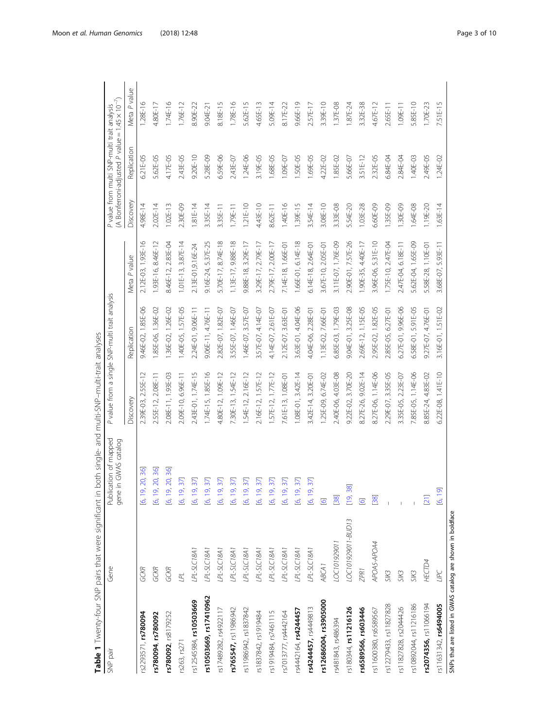<span id="page-2-0"></span>

| Table 1 Twenty-four SNP pairs that were significant in     |                    |                                               | both single- and multi-SNP-multi-trait analyses |                                                |                      |            |                                                                                                         |              |
|------------------------------------------------------------|--------------------|-----------------------------------------------|-------------------------------------------------|------------------------------------------------|----------------------|------------|---------------------------------------------------------------------------------------------------------|--------------|
| SNP pair                                                   | Gene               | Publication of mapped<br>gene in GWAS catalog |                                                 | P value from a single SNP-multi trait analysis |                      |            | (A Bonferroni-adjusted P value = $1.45 \times 10^{-7}$ )<br>P value from multi SNP-multi trait analysis |              |
|                                                            |                    |                                               | Discovery                                       | Replication                                    | Meta P value         | Discovery  | Replication                                                                                             | Meta P value |
| rs2293571, rs780094                                        | GCKR               | 9, 20, 36]<br>$\frac{1}{6}$                   | 2.39E-03, 2.55E-12                              | 9.46E-02, 1.85E-06                             | 2.12E-03, 1.93E-16   | 4.98E-14   | 6.21E-05                                                                                                | 1.28E-16     |
| rs780094, rs780092                                         | GCKR               | 9, 20, 36]<br><u>ای</u>                       | 2.55E-12, 2.08E-11                              | 1.85E-06, 1.36E-02                             | 1.93E-16, 8.46E-12   | 2.02E-14   | 5.62E-05                                                                                                | 4.80E-17     |
| rs780092, rs8179252                                        | GCKR               | 9, 20, 36]<br>$\frac{1}{6}$                   | 2.08E-11, 1.93E-03                              | 1.36E-02, 1.26E-02                             | 8.46E-12, 2.83E-04   | $1.02E-13$ | 4.17E-05                                                                                                | 1.74E-16     |
| rs263, rs271                                               | LPL                | 9, 37]<br>$\frac{1}{6}$                       | 2.09E-10, 6.96E-11                              | 1.40E-05, 1.57E-05                             | $1.01E-13, 3.87E-14$ | 2.30E-09   | 2.43E-05                                                                                                | 1.76E-12     |
| rs12545984, rs10503669                                     | PL-SLC18A1         | 9, 37]<br>$\overline{6}$                      | 2.43E-01, 1.74E-15                              | 2.24E-01, 9.06E-11                             | 2.13E-01, 9.16E-24   | $1.81E-14$ | $9.20E - 10$                                                                                            | 8.90E-22     |
| rs10503669, rs17410962                                     | LPL-SLC18A1        | 9, 37]<br>$\overline{6}$                      | 1.74E-15, 1.85E-16                              | 9.06E-11, 4.76E-11                             | 9.16E-24, 5.37E-25   | 3.35E-14   | 5.28E-09                                                                                                | 9.04E-21     |
| rs17489282, rs4922117                                      | $PL-SLC18A1$       | 9, 37]<br>$\overline{6}$                      | 4.80E-12, 1.09E-12                              | 2.82E-07, 1.82E-07                             | 5.70E-17, 8.74E-18   | 3.35E-11   | 6.59E-06                                                                                                | 8.18E-15     |
| rs765547, rs11986942                                       | PL-SLC18A1         | 9, 37]<br>$\frac{1}{2}$                       | 7.30E-13, 1.54E-12                              | 3.55E-07, 1.46E-07                             | 1.13E-17, 9.88E-18   | 1.79E-11   | 2.43E-07                                                                                                | 1.78E-16     |
| rs11986942, rs1837842                                      | LPL-SLC18A1        | 9, 37]<br>$\overline{6}$                      | 54E-12, 2.16E-12                                | 1.46E-07, 3.57E-07                             | 9.88E-18, 3.29E-17   | $1.21E-10$ | $1.24E - 06$                                                                                            | 5.62E-15     |
| rs1837842, rs1919484                                       | $PL-SLC18A1$       | 9, 37]<br>$\overline{6}$                      | 2.16E-12, 1.57E-12                              | 3.57E-07, 4.14E-07                             | 3.29E-17, 2.79E-17   | 4.43E-10   | 3.19E-05                                                                                                | 4.65E-13     |
| rs1919484, rs7461115                                       | $PL-SLC18A1$       | 9, 37<br>$\overline{6}$ 1                     | 57E-12, 1.77E-12                                | 4.14E-07, 2.61E-07                             | 2.79E-17, 2.00E-17   | 8.62E-11   | .68E-05                                                                                                 | 5.09E-14     |
| rs7013777, rs4442164                                       | LPL-SLC18A1        | 9, 37<br>$\overline{6}$                       | 7.61E-13, 1.08E-01                              | 2.12E-07, 3.63E-01                             | 7.14E-18, 1.66E-01   | 1.40E-16   | 1.09E-07                                                                                                | 8.17E-22     |
| rs4442164, rs4244457                                       | PL-SLC18A1         | 9, 37<br>$\overline{6}$ , 1                   | $1.08E-01, 3.42E-14$                            | 3.63E-01, 4.04E-06                             | 1.66E-01, 6.14E-18   | 1.39E-15   | .50E-05                                                                                                 | 9.66E-19     |
| rs4244457, rs4449813                                       | $PL-SLC18A1$       | 9,37]<br>$\frac{1}{6}$                        | 3.42E-14, 3.20E-01                              | 4.04E-06, 2.28E-01                             | $6.14E-18, 2.64E-01$ | 3.54E-14   | .69E-05                                                                                                 | 2.57E-17     |
| rs12686004, rs3905000                                      | ABCA1              | $\overline{\mathcal{Q}}$                      | 1.25E-09, 6.74E-02                              | 1.13E-02, 7.66E-01                             | 3.67E-10, 2.05E-01   | 3.08E-10   | 4.22E-02                                                                                                | 3.39E-10     |
| rs481843, rs486394                                         | LOC101929011       | [38]                                          | 2.40E-06, 4.03E-08                              | 6.85E-03, 1.79E-03                             | 3.11E-07, 1.76E-09   | 3.33E-08   | 1.85E-02                                                                                                | 1.37E-08     |
| rs180344, rs11216126                                       | LOC101929011-BUD13 | 38<br>$\overline{[19]}$                       | 9.22E-02, 3.70E-20                              | 9.04E-01, 3.25E-08                             | 2.90E-01, 7.57E-26   | 5.54E-20   | 5.66E-07                                                                                                | 87E-24       |
| rs6589566, rs603446                                        | ZPR <sub>1</sub>   | $\overline{6}$                                | 8.27E-26, 9.02E-14                              | 2.69E-12, 1.15E-05                             | 1.90E-35, 4.40E-17   | 1.03E-28   | 3.51E-12                                                                                                | 3.32E-38     |
| rs11600380, rs6589567                                      | APOAS-APOA4        | [38]                                          | 8.27E-06, 1.14E-06                              | 2.95E-02, 1.82E-05                             | 3.96E-06, 5.31E-10   | 6.60E-09   | 2.32E-05                                                                                                | 4.67E-12     |
| rs12279433, rs11827828                                     | SIK3               |                                               | 2.29E-07, 3.35E-05                              | 2.85E-05, 6.27E-01                             | 1.75E-10, 2.47E-04   | 1.35E-09   | 6.84E-04                                                                                                | 2.65E-11     |
| rs11827828, rs2044426                                      | SIK3               |                                               | 3.35E-05, 2.23E-07                              | 6.27E-01, 9.96E-06                             | 2.47E-04, 6.18E-11   | 1.30E-09   | 2.84E-04                                                                                                | 1.09E-11     |
| rs10892044, rs11216186                                     | SIK3               |                                               | 7.85E-05, 1.14E-06                              | 6.58E-01, 5.91 E-05                            | 5.62E-04, 1.65E-09   | 1.64E-08   | 1.40E-03                                                                                                | 5.85E-10     |
| rs2074356, rs11066194                                      | <b>HECTD4</b>      | $[21]$                                        | 8.85E-24, 4.83E-02                              | 9.27E-07, 4.76E-01                             | 5.58E-28, 1.10E-01   | 1.19E-20   | 2.49E-05                                                                                                | 1.70E-23     |
| rs11631342, rs6494005                                      | UPC                | 9<br>$\frac{1}{2}$                            | 6.22E-08, 1.41E-10                              | 3.16E-01, 1.51E-02                             | 3.68E-07, 5.93E-11   | $1.63E-14$ | $1.24E - 02$                                                                                            | 7.51E-15     |
| SNPs that are listed in GWAS catalog are shown in boldface |                    |                                               |                                                 |                                                |                      |            |                                                                                                         |              |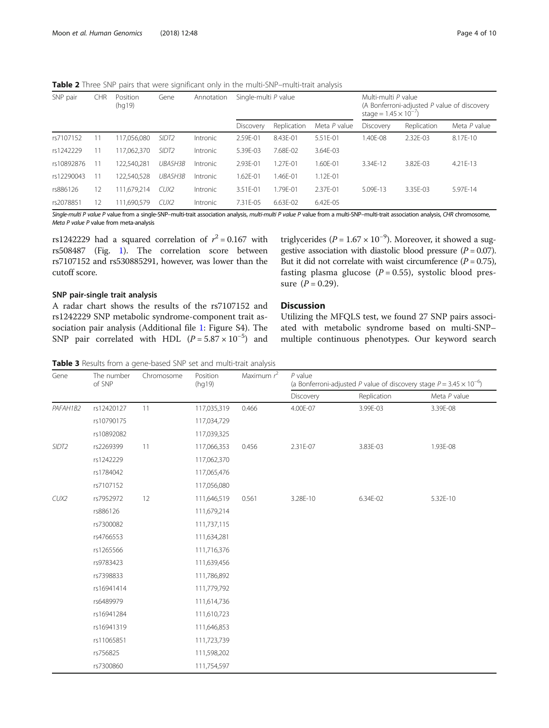<span id="page-3-0"></span>Table 2 Three SNP pairs that were significant only in the multi-SNP-multi-trait analysis

| SNP pair   | <b>CHR</b>               | Position<br>(hq19) | Gene              | Annotation | Single-multi P value |             | Multi-multi P value<br>(A Bonferroni-adjusted $P$ value of discovery<br>stage = $1.45 \times 10^{-7}$ |           |             |              |
|------------|--------------------------|--------------------|-------------------|------------|----------------------|-------------|-------------------------------------------------------------------------------------------------------|-----------|-------------|--------------|
|            |                          |                    |                   |            | Discovery            | Replication | Meta P value                                                                                          | Discovery | Replication | Meta P value |
| rs7107152  |                          | 117,056,080        | SIDT <sub>2</sub> | Intronic   | 2.59E-01             | 8.43E-01    | 5.51E-01                                                                                              | .40E-08   | 2.32E-03    | 8.17E-10     |
| rs1242229  | $\overline{1}$           | 117,062,370        | SIDT <sub>2</sub> | Intronic   | 5.39E-03             | 7.68E-02    | 3.64E-03                                                                                              |           |             |              |
| rs10892876 |                          | 122,540,281        | UBASH3B           | Intronic   | 2.93E-01             | 1.27F-01    | 1.60F-01                                                                                              | 3.34F-12  | 3.82F-03    | $4.21F - 13$ |
| rs12290043 | $\overline{1}$           | 122,540,528        | UBASH3B           | Intronic   | 1.62E-01             | 1.46E-01    | 1.12E-01                                                                                              |           |             |              |
| rs886126   | 12 <sup>12</sup>         | 111,679,214        | CUX2              | Intronic   | 3.51E-01             | .79E-01     | 2.37E-01                                                                                              | 5.09F-13  | 3.35F-03    | 5.97F-14     |
| rs2078851  | $\overline{\phantom{a}}$ | 111.690.579        | CUX2              | Intronic   | 7.31F-05             | 6.63E-02    | 6.42E-05                                                                                              |           |             |              |

Single-multi P value P value from a single-SNP-multi-trait association analysis, multi-multi P value P value from a multi-SNP-multi-trait association analysis, CHR chromosome, Meta P value P value from meta-analysis

rs1242229 had a squared correlation of  $r^2 = 0.167$  with rs508487 (Fig. [1\)](#page-4-0). The correlation score between rs7107152 and rs530885291, however, was lower than the cutoff score.

## SNP pair-single trait analysis

A radar chart shows the results of the rs7107152 and rs1242229 SNP metabolic syndrome-component trait association pair analysis (Additional file [1:](#page-7-0) Figure S4). The SNP pair correlated with HDL  $(P = 5.87 \times 10^{-5})$  and

triglycerides ( $P = 1.67 \times 10^{-9}$ ). Moreover, it showed a suggestive association with diastolic blood pressure  $(P = 0.07)$ . But it did not correlate with waist circumference  $(P = 0.75)$ , fasting plasma glucose  $(P = 0.55)$ , systolic blood pressure  $(P = 0.29)$ .

## **Discussion**

Utilizing the MFQLS test, we found 27 SNP pairs associated with metabolic syndrome based on multi-SNP– multiple continuous phenotypes. Our keyword search

Table 3 Results from a gene-based SNP set and multi-trait analysis

| Gene              | The number<br>of SNP | Chromosome | Position<br>(hq19) | Maximum $r^2$ | $P$ value<br>(a Bonferroni-adjusted P value of discovery stage $P = 3.45 \times 10^{-6}$ ) |             |              |  |
|-------------------|----------------------|------------|--------------------|---------------|--------------------------------------------------------------------------------------------|-------------|--------------|--|
|                   |                      |            |                    |               | Discovery                                                                                  | Replication | Meta P value |  |
| PAFAH1B2          | rs12420127           | 11         | 117,035,319        | 0.466         | 4.00E-07                                                                                   | 3.99E-03    | 3.39E-08     |  |
|                   | rs10790175           |            | 117,034,729        |               |                                                                                            |             |              |  |
|                   | rs10892082           |            | 117,039,325        |               |                                                                                            |             |              |  |
| SIDT <sub>2</sub> | rs2269399            | 11         | 117,066,353        | 0.456         | 2.31E-07                                                                                   | 3.83E-03    | 1.93E-08     |  |
|                   | rs1242229            |            | 117,062,370        |               |                                                                                            |             |              |  |
|                   | rs1784042            |            | 117,065,476        |               |                                                                                            |             |              |  |
|                   | rs7107152            |            | 117,056,080        |               |                                                                                            |             |              |  |
| CUX2              | rs7952972            | 12         | 111,646,519        | 0.561         | 3.28E-10                                                                                   | 6.34E-02    | 5.32E-10     |  |
|                   | rs886126             |            | 111,679,214        |               |                                                                                            |             |              |  |
|                   | rs7300082            |            | 111,737,115        |               |                                                                                            |             |              |  |
|                   | rs4766553            |            | 111,634,281        |               |                                                                                            |             |              |  |
|                   | rs1265566            |            | 111,716,376        |               |                                                                                            |             |              |  |
|                   | rs9783423            |            | 111,639,456        |               |                                                                                            |             |              |  |
|                   | rs7398833            |            | 111,786,892        |               |                                                                                            |             |              |  |
|                   | rs16941414           |            | 111,779,792        |               |                                                                                            |             |              |  |
|                   | rs6489979            |            | 111,614,736        |               |                                                                                            |             |              |  |
|                   | rs16941284           |            | 111,610,723        |               |                                                                                            |             |              |  |
|                   | rs16941319           |            | 111,646,853        |               |                                                                                            |             |              |  |
|                   | rs11065851           |            | 111,723,739        |               |                                                                                            |             |              |  |
|                   | rs756825             |            | 111,598,202        |               |                                                                                            |             |              |  |
|                   | rs7300860            |            | 111,754,597        |               |                                                                                            |             |              |  |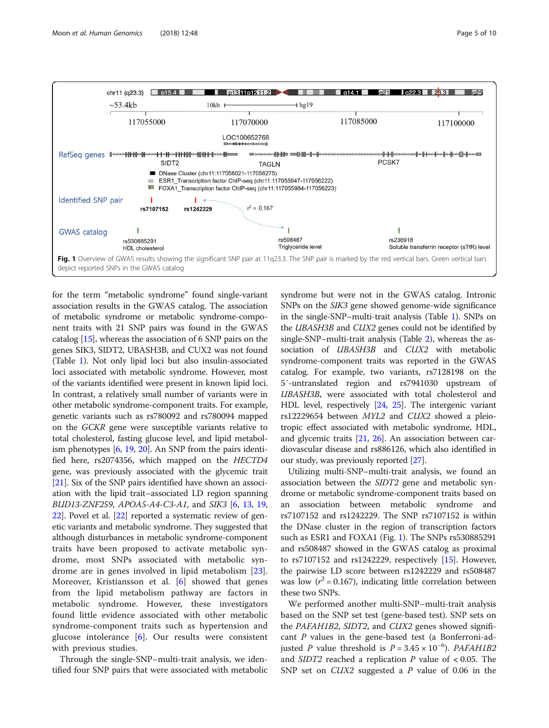<span id="page-4-0"></span>

for the term "metabolic syndrome" found single-variant association results in the GWAS catalog. The association of metabolic syndrome or metabolic syndrome-component traits with 21 SNP pairs was found in the GWAS catalog [[15](#page-8-0)], whereas the association of 6 SNP pairs on the genes SIK3, SIDT2, UBASH3B, and CUX2 was not found (Table [1\)](#page-2-0). Not only lipid loci but also insulin-associated loci associated with metabolic syndrome. However, most of the variants identified were present in known lipid loci. In contrast, a relatively small number of variants were in other metabolic syndrome-component traits. For example, genetic variants such as rs780092 and rs780094 mapped on the GCKR gene were susceptible variants relative to total cholesterol, fasting glucose level, and lipid metabolism phenotypes [[6](#page-8-0), [19](#page-8-0), [20\]](#page-8-0). An SNP from the pairs identified here, rs2074356, which mapped on the HECTD4 gene, was previously associated with the glycemic trait [[21](#page-8-0)]. Six of the SNP pairs identified have shown an association with the lipid trait–associated LD region spanning BUD13-ZNF259, APOA5-A4-C3-A1, and SIK3 [[6,](#page-8-0) [13](#page-8-0), [19](#page-8-0), [22](#page-8-0)]. Povel et al. [\[22\]](#page-8-0) reported a systematic review of genetic variants and metabolic syndrome. They suggested that although disturbances in metabolic syndrome-component traits have been proposed to activate metabolic syndrome, most SNPs associated with metabolic syndrome are in genes involved in lipid metabolism [\[23](#page-8-0)]. Moreover, Kristiansson et al. [[6\]](#page-8-0) showed that genes from the lipid metabolism pathway are factors in metabolic syndrome. However, these investigators found little evidence associated with other metabolic syndrome-component traits such as hypertension and glucose intolerance [\[6\]](#page-8-0). Our results were consistent with previous studies.

Through the single-SNP–multi-trait analysis, we identified four SNP pairs that were associated with metabolic syndrome but were not in the GWAS catalog. Intronic SNPs on the SIK3 gene showed genome-wide significance in the single-SNP–multi-trait analysis (Table [1](#page-2-0)). SNPs on the UBASH3B and CUX2 genes could not be identified by single-SNP–multi-trait analysis (Table [2](#page-3-0)), whereas the association of UBASH3B and CUX2 with metabolic syndrome-component traits was reported in the GWAS catalog. For example, two variants, rs7128198 on the 5′-untranslated region and rs7941030 upstream of UBASH3B, were associated with total cholesterol and HDL level, respectively [\[24,](#page-8-0) [25](#page-8-0)]. The intergenic variant rs12229654 between MYL2 and CUX2 showed a pleiotropic effect associated with metabolic syndrome, HDL, and glycemic traits [[21](#page-8-0), [26\]](#page-8-0). An association between cardiovascular disease and rs886126, which also identified in our study, was previously reported [\[27\]](#page-8-0).

Utilizing multi-SNP–multi-trait analysis, we found an association between the SIDT2 gene and metabolic syndrome or metabolic syndrome-component traits based on an association between metabolic syndrome and rs7107152 and rs1242229. The SNP rs7107152 is within the DNase cluster in the region of transcription factors such as ESR1 and FOXA1 (Fig. 1). The SNPs rs530885291 and rs508487 showed in the GWAS catalog as proximal to rs7107152 and rs1242229, respectively [\[15\]](#page-8-0). However, the pairwise LD score between rs1242229 and rs508487 was low ( $r^2$  = 0.167), indicating little correlation between these two SNPs.

We performed another multi-SNP–multi-trait analysis based on the SNP set test (gene-based test). SNP sets on the PAFAH1B2, SIDT2, and CUX2 genes showed significant P values in the gene-based test (a Bonferroni-adjusted *P* value threshold is  $P = 3.45 \times 10^{-6}$ ). *PAFAH1B2* and *SIDT2* reached a replication P value of  $< 0.05$ . The SNP set on *CUX2* suggested a *P* value of 0.06 in the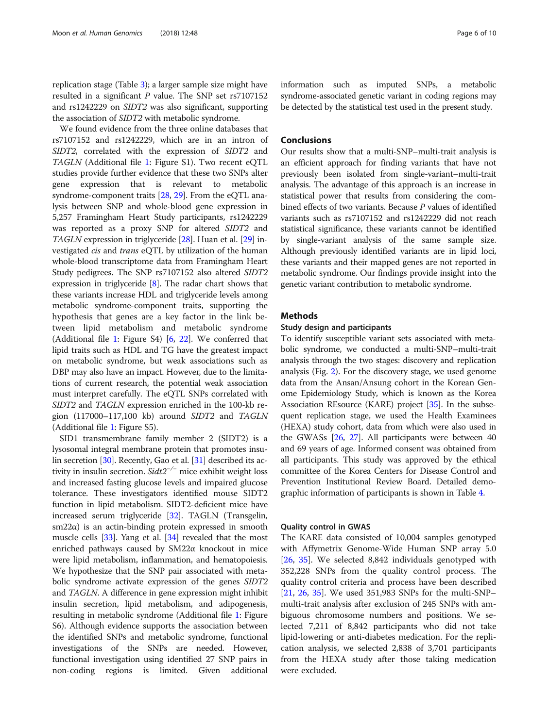replication stage (Table [3](#page-3-0)); a larger sample size might have resulted in a significant  $P$  value. The SNP set rs7107152 and rs1242229 on SIDT2 was also significant, supporting the association of SIDT2 with metabolic syndrome.

We found evidence from the three online databases that rs7107152 and rs1242229, which are in an intron of SIDT2, correlated with the expression of SIDT2 and TAGLN (Additional file [1](#page-7-0): Figure S1). Two recent eQTL studies provide further evidence that these two SNPs alter gene expression that is relevant to metabolic syndrome-component traits [\[28,](#page-8-0) [29](#page-8-0)]. From the eQTL analysis between SNP and whole-blood gene expression in 5,257 Framingham Heart Study participants, rs1242229 was reported as a proxy SNP for altered SIDT2 and TAGLN expression in triglyceride [[28](#page-8-0)]. Huan et al. [[29](#page-8-0)] investigated cis and trans eQTL by utilization of the human whole-blood transcriptome data from Framingham Heart Study pedigrees. The SNP rs7107152 also altered SIDT2 expression in triglyceride [\[8\]](#page-8-0). The radar chart shows that these variants increase HDL and triglyceride levels among metabolic syndrome-component traits, supporting the hypothesis that genes are a key factor in the link between lipid metabolism and metabolic syndrome (Additional file [1](#page-7-0): Figure S4) [\[6](#page-8-0), [22](#page-8-0)]. We conferred that lipid traits such as HDL and TG have the greatest impact on metabolic syndrome, but weak associations such as DBP may also have an impact. However, due to the limitations of current research, the potential weak association must interpret carefully. The eQTL SNPs correlated with SIDT2 and TAGLN expression enriched in the 100-kb region (117000–117,100 kb) around SIDT2 and TAGLN (Additional file [1](#page-7-0): Figure S5).

SID1 transmembrane family member 2 (SIDT2) is a lysosomal integral membrane protein that promotes insu-lin secretion [\[30\]](#page-8-0). Recently, Gao et al. [[31](#page-8-0)] described its activity in insulin secretion.  $Sidt2^{-/-}$  mice exhibit weight loss and increased fasting glucose levels and impaired glucose tolerance. These investigators identified mouse SIDT2 function in lipid metabolism. SIDT2-deficient mice have increased serum triglyceride [[32](#page-8-0)]. TAGLN (Transgelin, sm22α) is an actin-binding protein expressed in smooth muscle cells [[33](#page-8-0)]. Yang et al. [[34](#page-8-0)] revealed that the most enriched pathways caused by SM22α knockout in mice were lipid metabolism, inflammation, and hematopoiesis. We hypothesize that the SNP pair associated with metabolic syndrome activate expression of the genes SIDT2 and TAGLN. A difference in gene expression might inhibit insulin secretion, lipid metabolism, and adipogenesis, resulting in metabolic syndrome (Additional file [1:](#page-7-0) Figure S6). Although evidence supports the association between the identified SNPs and metabolic syndrome, functional investigations of the SNPs are needed. However, functional investigation using identified 27 SNP pairs in non-coding regions is limited. Given additional information such as imputed SNPs, a metabolic syndrome-associated genetic variant in coding regions may be detected by the statistical test used in the present study.

## **Conclusions**

Our results show that a multi-SNP–multi-trait analysis is an efficient approach for finding variants that have not previously been isolated from single-variant–multi-trait analysis. The advantage of this approach is an increase in statistical power that results from considering the combined effects of two variants. Because P values of identified variants such as rs7107152 and rs1242229 did not reach statistical significance, these variants cannot be identified by single-variant analysis of the same sample size. Although previously identified variants are in lipid loci, these variants and their mapped genes are not reported in metabolic syndrome. Our findings provide insight into the genetic variant contribution to metabolic syndrome.

### **Methods**

### Study design and participants

To identify susceptible variant sets associated with metabolic syndrome, we conducted a multi-SNP–multi-trait analysis through the two stages: discovery and replication analysis (Fig. [2\)](#page-6-0). For the discovery stage, we used genome data from the Ansan/Ansung cohort in the Korean Genome Epidemiology Study, which is known as the Korea Association REsource (KARE) project [[35](#page-8-0)]. In the subsequent replication stage, we used the Health Examinees (HEXA) study cohort, data from which were also used in the GWASs [[26](#page-8-0), [27\]](#page-8-0). All participants were between 40 and 69 years of age. Informed consent was obtained from all participants. This study was approved by the ethical committee of the Korea Centers for Disease Control and Prevention Institutional Review Board. Detailed demographic information of participants is shown in Table [4](#page-6-0).

### Quality control in GWAS

The KARE data consisted of 10,004 samples genotyped with Affymetrix Genome-Wide Human SNP array 5.0 [[26,](#page-8-0) [35](#page-8-0)]. We selected 8,842 individuals genotyped with 352,228 SNPs from the quality control process. The quality control criteria and process have been described [[21,](#page-8-0) [26](#page-8-0), [35\]](#page-8-0). We used 351,983 SNPs for the multi-SNP– multi-trait analysis after exclusion of 245 SNPs with ambiguous chromosome numbers and positions. We selected 7,211 of 8,842 participants who did not take lipid-lowering or anti-diabetes medication. For the replication analysis, we selected 2,838 of 3,701 participants from the HEXA study after those taking medication were excluded.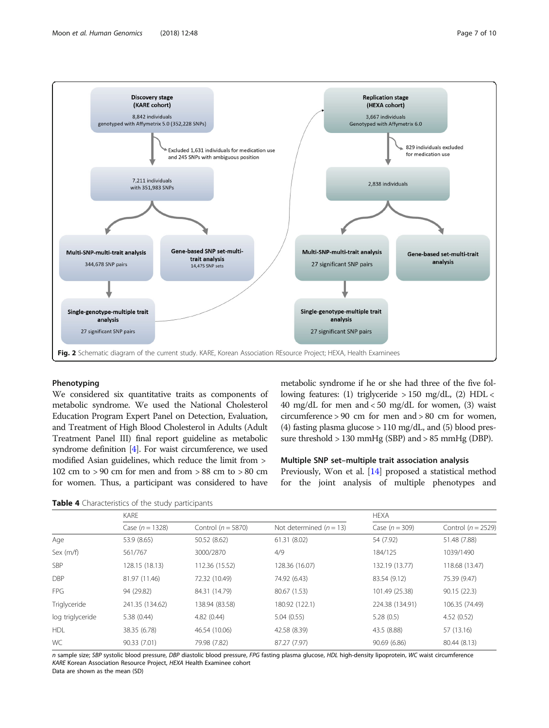

<span id="page-6-0"></span>

## Phenotyping

We considered six quantitative traits as components of metabolic syndrome. We used the National Cholesterol Education Program Expert Panel on Detection, Evaluation, and Treatment of High Blood Cholesterol in Adults (Adult Treatment Panel III) final report guideline as metabolic syndrome definition [\[4\]](#page-8-0). For waist circumference, we used modified Asian guidelines, which reduce the limit from > 102 cm to > 90 cm for men and from > 88 cm to > 80 cm for women. Thus, a participant was considered to have

metabolic syndrome if he or she had three of the five following features: (1) triglyceride > 150 mg/dL, (2) HDL < 40 mg/dL for men and  $<$  50 mg/dL for women, (3) waist circumference > 90 cm for men and > 80 cm for women, (4) fasting plasma glucose  $> 110$  mg/dL, and (5) blood pressure threshold > 130 mmHg (SBP) and > 85 mmHg (DBP).

## Multiple SNP set–multiple trait association analysis

Previously, Won et al. [[14\]](#page-8-0) proposed a statistical method for the joint analysis of multiple phenotypes and

Table 4 Characteristics of the study participants

|                  | KARE              |                        |                           | <b>HEXA</b>      |                        |  |
|------------------|-------------------|------------------------|---------------------------|------------------|------------------------|--|
|                  | Case $(n = 1328)$ | Control ( $n = 5870$ ) | Not determined $(n = 13)$ | Case $(n = 309)$ | Control ( $n = 2529$ ) |  |
| Age              | 53.9 (8.65)       | 50.52 (8.62)           | 61.31 (8.02)              | 54 (7.92)        | 51.48 (7.88)           |  |
| Sex $(m/f)$      | 561/767           | 3000/2870              | 4/9                       | 184/125          | 1039/1490              |  |
| SBP              | 128.15 (18.13)    | 112.36 (15.52)         | 128.36 (16.07)            | 132.19 (13.77)   | 118.68 (13.47)         |  |
| <b>DBP</b>       | 81.97 (11.46)     | 72.32 (10.49)          | 74.92 (6.43)              | 83.54 (9.12)     | 75.39 (9.47)           |  |
| <b>FPG</b>       | 94 (29.82)        | 84.31 (14.79)          | 80.67 (1.53)              | 101.49 (25.38)   | 90.15(22.3)            |  |
| Triglyceride     | 241.35 (134.62)   | 138.94 (83.58)         | 180.92 (122.1)            | 224.38 (134.91)  | 106.35 (74.49)         |  |
| log triglyceride | 5.38(0.44)        | 4.82(0.44)             | 5.04(0.55)                | 5.28(0.5)        | 4.52(0.52)             |  |
| <b>HDL</b>       | 38.35 (6.78)      | 46.54 (10.06)          | 42.58 (8.39)              | 43.5 (8.88)      | 57 (13.16)             |  |
| WC               | 90.33 (7.01)      | 79.98 (7.82)           | 87.27 (7.97)              | 90.69(6.86)      | 80.44 (8.13)           |  |

n sample size; SBP systolic blood pressure, DBP diastolic blood pressure, FPG fasting plasma glucose, HDL high-density lipoprotein, WC waist circumference KARE Korean Association Resource Project, HEXA Health Examinee cohort

Data are shown as the mean (SD)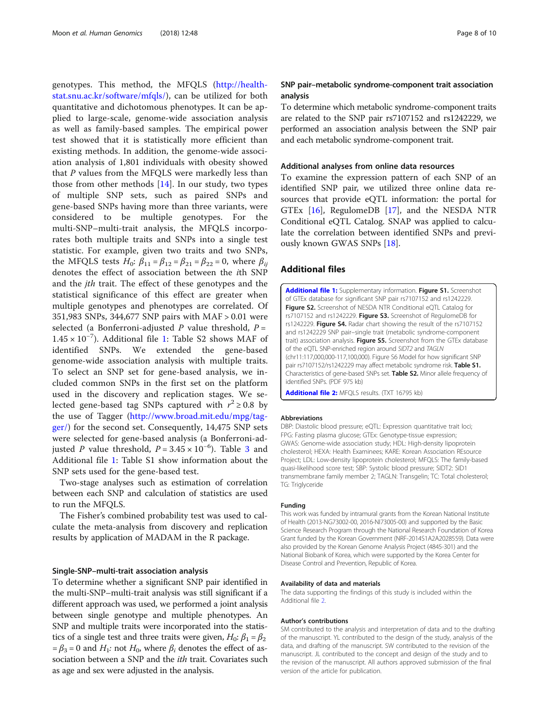<span id="page-7-0"></span>genotypes. This method, the MFQLS [\(http://health](http://healthstat.snu.ac.kr/software/mfqls/)[stat.snu.ac.kr/software/mfqls/\)](http://healthstat.snu.ac.kr/software/mfqls/), can be utilized for both quantitative and dichotomous phenotypes. It can be applied to large-scale, genome-wide association analysis as well as family-based samples. The empirical power test showed that it is statistically more efficient than existing methods. In addition, the genome-wide association analysis of 1,801 individuals with obesity showed that P values from the MFQLS were markedly less than those from other methods [[14\]](#page-8-0). In our study, two types of multiple SNP sets, such as paired SNPs and gene-based SNPs having more than three variants, were considered to be multiple genotypes. For the multi-SNP–multi-trait analysis, the MFQLS incorporates both multiple traits and SNPs into a single test statistic. For example, given two traits and two SNPs, the MFQLS tests  $H_0$ :  $\beta_{11} = \beta_{12} = \beta_{21} = \beta_{22} = 0$ , where  $\beta_{ii}$ denotes the effect of association between the ith SNP and the *jth* trait. The effect of these genotypes and the statistical significance of this effect are greater when multiple genotypes and phenotypes are correlated. Of 351,983 SNPs, 344,677 SNP pairs with MAF > 0.01 were selected (a Bonferroni-adjusted P value threshold,  $P =$ 1.45 × 10−<sup>7</sup> ). Additional file 1: Table S2 shows MAF of identified SNPs. We extended the gene-based genome-wide association analysis with multiple traits. To select an SNP set for gene-based analysis, we included common SNPs in the first set on the platform used in the discovery and replication stages. We selected gene-based tag SNPs captured with  $r^2 \ge 0.8$  by the use of Tagger ([http://www.broad.mit.edu/mpg/tag](http://www.broad.mit.edu/mpg/tagger/)[ger/](http://www.broad.mit.edu/mpg/tagger/)) for the second set. Consequently, 14,475 SNP sets were selected for gene-based analysis (a Bonferroni-adjusted *P* value threshold,  $P = 3.45 \times 10^{-6}$  $P = 3.45 \times 10^{-6}$  $P = 3.45 \times 10^{-6}$ ). Table 3 and Additional file 1: Table S1 show information about the SNP sets used for the gene-based test.

Two-stage analyses such as estimation of correlation between each SNP and calculation of statistics are used to run the MFQLS.

The Fisher's combined probability test was used to calculate the meta-analysis from discovery and replication results by application of MADAM in the R package.

### Single-SNP–multi-trait association analysis

To determine whether a significant SNP pair identified in the multi-SNP–multi-trait analysis was still significant if a different approach was used, we performed a joint analysis between single genotype and multiple phenotypes. An SNP and multiple traits were incorporated into the statistics of a single test and three traits were given,  $H_0$ :  $\beta_1 = \beta_2$  $= \beta_3 = 0$  and  $H_1$ : not  $H_0$ , where  $\beta_i$  denotes the effect of association between a SNP and the *ith* trait. Covariates such as age and sex were adjusted in the analysis.

## SNP pair–metabolic syndrome-component trait association analysis

To determine which metabolic syndrome-component traits are related to the SNP pair rs7107152 and rs1242229, we performed an association analysis between the SNP pair and each metabolic syndrome-component trait.

### Additional analyses from online data resources

To examine the expression pattern of each SNP of an identified SNP pair, we utilized three online data resources that provide eQTL information: the portal for GTEx [[16](#page-8-0)], RegulomeDB [[17\]](#page-8-0), and the NESDA NTR Conditional eQTL Catalog. SNAP was applied to calculate the correlation between identified SNPs and previously known GWAS SNPs [\[18](#page-8-0)].

## Additional files

[Additional file 1:](https://doi.org/10.1186/s40246-018-0180-4) Supplementary information. Figure S1. Screenshot of GTEx database for significant SNP pair rs7107152 and rs1242229. Figure S2. Screenshot of NESDA NTR Conditional eQTL Catalog for rs7107152 and rs1242229. Figure S3. Screenshot of RegulomeDB for rs1242229. Figure S4. Radar chart showing the result of the rs7107152 and rs1242229 SNP pair–single trait (metabolic syndrome-component trait) association analysis. Figure S5. Screenshot from the GTEx database of the eQTL SNP-enriched region around SIDT2 and TAGLN (chr11:117,000,000-117,100,000). Figure S6 Model for how significant SNP pair rs7107152/rs1242229 may affect metabolic syndrome risk. Table S1. Characteristics of gene-based SNPs set. Table S2. Minor allele frequency of identified SNPs. (PDF 975 kb)

[Additional file 2:](https://doi.org/10.1186/s40246-018-0180-4) MFQLS results. (TXT 16795 kb)

#### Abbreviations

DBP: Diastolic blood pressure; eQTL: Expression quantitative trait loci; FPG: Fasting plasma glucose; GTEx: Genotype-tissue expression; GWAS: Genome-wide association study; HDL: High-density lipoprotein cholesterol; HEXA: Health Examinees; KARE: Korean Association REsource Project; LDL: Low-density lipoprotein cholesterol; MFQLS: The family-based quasi-likelihood score test; SBP: Systolic blood pressure; SIDT2: SID1 transmembrane family member 2; TAGLN: Transgelin; TC: Total cholesterol; TG: Trialvceride

#### Funding

This work was funded by intramural grants from the Korean National Institute of Health (2013-NG73002-00, 2016-NI73005-00) and supported by the Basic Science Research Program through the National Research Foundation of Korea Grant funded by the Korean Government (NRF-2014S1A2A2028559). Data were also provided by the Korean Genome Analysis Project (4845-301) and the National Biobank of Korea, which were supported by the Korea Center for Disease Control and Prevention, Republic of Korea.

#### Availability of data and materials

The data supporting the findings of this study is included within the Additional file 2.

#### Author's contributions

SM contributed to the analysis and interpretation of data and to the drafting of the manuscript. YL contributed to the design of the study, analysis of the data, and drafting of the manuscript. SW contributed to the revision of the manuscript. JL contributed to the concept and design of the study and to the revision of the manuscript. All authors approved submission of the final version of the article for publication.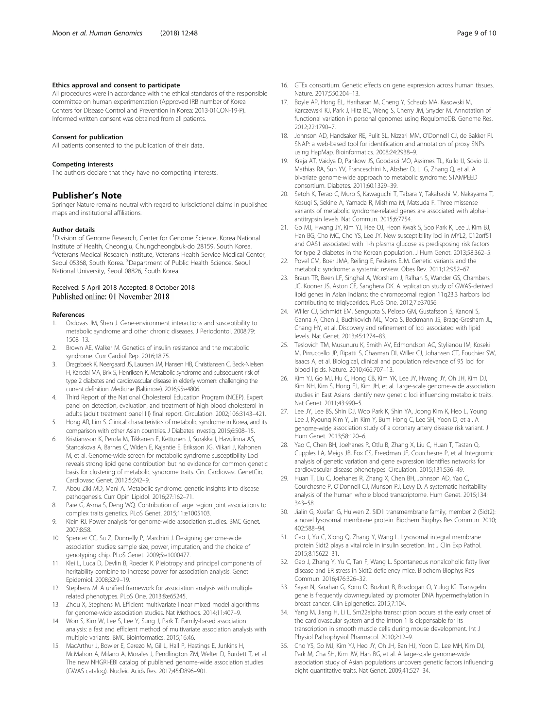### <span id="page-8-0"></span>Ethics approval and consent to participate

All procedures were in accordance with the ethical standards of the responsible committee on human experimentation (Approved IRB number of Korea Centers for Disease Control and Prevention in Korea: 2013-01CON-19-P). Informed written consent was obtained from all patients.

#### Consent for publication

All patients consented to the publication of their data.

#### Competing interests

The authors declare that they have no competing interests.

#### Publisher's Note

Springer Nature remains neutral with regard to jurisdictional claims in published maps and institutional affiliations.

#### Author details

<sup>1</sup>Division of Genome Research, Center for Genome Science, Korea National Institute of Health, Cheongju, Chungcheongbuk-do 28159, South Korea. 2 Veterans Medical Research Institute, Veterans Health Service Medical Center, Seoul 05368, South Korea. <sup>3</sup>Department of Public Health Science, Seoul National University, Seoul 08826, South Korea.

## Received: 5 April 2018 Accepted: 8 October 2018 Published online: 01 November 2018

#### References

- 1. Ordovas JM, Shen J. Gene-environment interactions and susceptibility to metabolic syndrome and other chronic diseases. J Periodontol. 2008;79: 1508–13.
- 2. Brown AE, Walker M. Genetics of insulin resistance and the metabolic syndrome. Curr Cardiol Rep. 2016;18:75.
- 3. Dragsbaek K, Neergaard JS, Laursen JM, Hansen HB, Christiansen C, Beck-Nielsen H, Karsdal MA, Brix S, Henriksen K. Metabolic syndrome and subsequent risk of type 2 diabetes and cardiovascular disease in elderly women: challenging the current definition. Medicine (Baltimore). 2016;95:e4806.
- 4. Third Report of the National Cholesterol Education Program (NCEP). Expert panel on detection, evaluation, and treatment of high blood cholesterol in adults (adult treatment panel III) final report. Circulation. 2002;106:3143–421.
- 5. Hong AR, Lim S. Clinical characteristics of metabolic syndrome in Korea, and its comparison with other Asian countries. J Diabetes Investig. 2015;6:508–15.
- 6. Kristiansson K, Perola M, Tikkanen E, Kettunen J, Surakka I, Havulinna AS, Stancakova A, Barnes C, Widen E, Kajantie E, Eriksson JG, Viikari J, Kahonen M, et al. Genome-wide screen for metabolic syndrome susceptibility Loci reveals strong lipid gene contribution but no evidence for common genetic basis for clustering of metabolic syndrome traits. Circ Cardiovasc GenetCirc Cardiovasc Genet. 2012;5:242–9.
- 7. Abou Ziki MD, Mani A. Metabolic syndrome: genetic insights into disease pathogenesis. Curr Opin Lipidol. 2016;27:162–71.
- 8. Pare G, Asma S, Deng WQ. Contribution of large region joint associations to complex traits genetics. PLoS Genet. 2015;11:e1005103.
- 9. Klein RJ. Power analysis for genome-wide association studies. BMC Genet. 2007;8:58.
- 10. Spencer CC, Su Z, Donnelly P, Marchini J. Designing genome-wide association studies: sample size, power, imputation, and the choice of genotyping chip. PLoS Genet. 2009;5:e1000477.
- 11. Klei L, Luca D, Devlin B, Roeder K. Pleiotropy and principal components of heritability combine to increase power for association analysis. Genet Epidemiol. 2008;32:9–19.
- 12. Stephens M. A unified framework for association analysis with multiple related phenotypes. PLoS One. 2013;8:e65245.
- 13. Zhou X, Stephens M. Efficient multivariate linear mixed model algorithms for genome-wide association studies. Nat Methods. 2014;11:407–9.
- 14. Won S, Kim W, Lee S, Lee Y, Sung J, Park T. Family-based association analysis: a fast and efficient method of multivariate association analysis with multiple variants. BMC Bioinformatics. 2015;16:46.
- 15. MacArthur J, Bowler E, Cerezo M, Gil L, Hall P, Hastings E, Junkins H, McMahon A, Milano A, Morales J, Pendlington ZM, Welter D, Burdett T, et al. The new NHGRI-EBI catalog of published genome-wide association studies (GWAS catalog). Nucleic Acids Res. 2017;45:D896–901.
- 16. GTEx consortium. Genetic effects on gene expression across human tissues. Nature. 2017;550:204–13.
- 17. Boyle AP, Hong EL, Hariharan M, Cheng Y, Schaub MA, Kasowski M, Karczewski KJ, Park J, Hitz BC, Weng S, Cherry JM, Snyder M. Annotation of functional variation in personal genomes using RegulomeDB. Genome Res. 2012;22:1790–7.
- 18. Johnson AD, Handsaker RE, Pulit SL, Nizzari MM, O'Donnell CJ, de Bakker PI. SNAP: a web-based tool for identification and annotation of proxy SNPs using HapMap. Bioinformatics. 2008;24:2938–9.
- 19. Kraja AT, Vaidya D, Pankow JS, Goodarzi MO, Assimes TL, Kullo IJ, Sovio U, Mathias RA, Sun YV, Franceschini N, Absher D, Li G, Zhang Q, et al. A bivariate genome-wide approach to metabolic syndrome: STAMPEED consortium. Diabetes. 2011;60:1329–39.
- 20. Setoh K, Terao C, Muro S, Kawaguchi T, Tabara Y, Takahashi M, Nakayama T, Kosugi S, Sekine A, Yamada R, Mishima M, Matsuda F. Three missense variants of metabolic syndrome-related genes are associated with alpha-1 antitrypsin levels. Nat Commun. 2015;6:7754.
- 21. Go MJ, Hwang JY, Kim YJ, Hee OJ, Heon Kwak S, Soo Park K, Lee J, Kim BJ, Han BG, Cho MC, Cho YS, Lee JY. New susceptibility loci in MYL2, C12orf51 and OAS1 associated with 1-h plasma glucose as predisposing risk factors for type 2 diabetes in the Korean population. J Hum Genet. 2013;58:362–5.
- 22. Povel CM, Boer JMA, Reiling E, Feskens EJM. Genetic variants and the metabolic syndrome: a systemic review. Obes Rev. 2011;12:952–67.
- 23. Braun TR, Been LF, Singhal A, Worsham J, Ralhan S, Wander GS, Chambers JC, Kooner JS, Aston CE, Sanghera DK. A replication study of GWAS-derived lipid genes in Asian Indians: the chromosomal region 11q23.3 harbors loci contributing to triglycerides. PLoS One. 2012;7:e37056.
- 24. Willer CJ, Schmidt EM, Sengupta S, Peloso GM, Gustafsson S, Kanoni S, Ganna A, Chen J, Buchkovich ML, Mora S, Beckmann JS, Bragg-Gresham JL, Chang HY, et al. Discovery and refinement of loci associated with lipid levels. Nat Genet. 2013;45:1274–83.
- 25. Teslovich TM, Musunuru K, Smith AV, Edmondson AC, Stylianou IM, Koseki M, Pirruccello JP, Ripatti S, Chasman DI, Willer CJ, Johansen CT, Fouchier SW, Isaacs A, et al. Biological, clinical and population relevance of 95 loci for blood lipids. Nature. 2010;466:707–13.
- 26. Kim YJ, Go MJ, Hu C, Hong CB, Kim YK, Lee JY, Hwang JY, Oh JH, Kim DJ, Kim NH, Kim S, Hong EJ, Kim JH, et al. Large-scale genome-wide association studies in East Asians identify new genetic loci influencing metabolic traits. Nat Genet. 2011;43:990–5.
- 27. Lee JY, Lee BS, Shin DJ, Woo Park K, Shin YA, Joong Kim K, Heo L, Young Lee J, Kyoung Kim Y, Jin Kim Y, Bum Hong C, Lee SH, Yoon D, et al. A genome-wide association study of a coronary artery disease risk variant. J Hum Genet. 2013;58:120–6.
- 28. Yao C, Chen BH, Joehanes R, Otlu B, Zhang X, Liu C, Huan T, Tastan O, Cupples LA, Meigs JB, Fox CS, Freedman JE, Courchesne P, et al. Integromic analysis of genetic variation and gene expression identifies networks for cardiovascular disease phenotypes. Circulation. 2015;131:536–49.
- 29. Huan T, Liu C, Joehanes R, Zhang X, Chen BH, Johnson AD, Yao C, Courchesne P, O'Donnell CJ, Munson PJ, Levy D. A systematic heritability analysis of the human whole blood transcriptome. Hum Genet. 2015;134: 343–58.
- 30. Jialin G, Xuefan G, Huiwen Z. SID1 transmembrane family, member 2 (Sidt2): a novel lysosomal membrane protein. Biochem Biophys Res Commun. 2010; 402:588–94.
- 31. Gao J, Yu C, Xiong Q, Zhang Y, Wang L. Lysosomal integral membrane protein Sidt2 plays a vital role in insulin secretion. Int J Clin Exp Pathol. 2015;8:15622–31.
- 32. Gao J, Zhang Y, Yu C, Tan F, Wang L. Spontaneous nonalcoholic fatty liver disease and ER stress in Sidt2 deficiency mice. Biochem Biophys Res Commun. 2016;476:326–32.
- 33. Sayar N, Karahan G, Konu O, Bozkurt B, Bozdogan O, Yulug IG. Transgelin gene is frequently downregulated by promoter DNA hypermethylation in breast cancer. Clin Epigenetics. 2015;7:104.
- 34. Yang M, Jiang H, Li L. Sm22alpha transcription occurs at the early onset of the cardiovascular system and the intron 1 is dispensable for its transcription in smooth muscle cells during mouse development. Int J Physiol Pathophysiol Pharmacol. 2010;2:12–9.
- 35. Cho YS, Go MJ, Kim YJ, Heo JY, Oh JH, Ban HJ, Yoon D, Lee MH, Kim DJ, Park M, Cha SH, Kim JW, Han BG, et al. A large-scale genome-wide association study of Asian populations uncovers genetic factors influencing eight quantitative traits. Nat Genet. 2009;41:527–34.